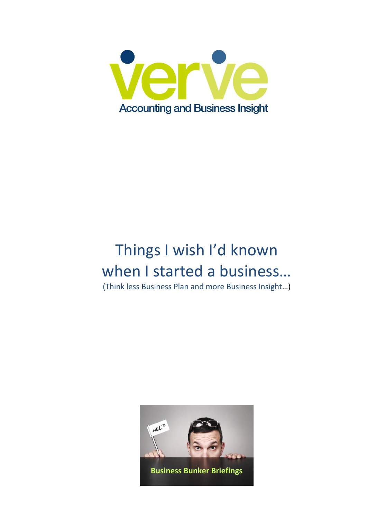

# Things I wish I'd known when I started a business...

(Think less Business Plan and more Business Insight…)

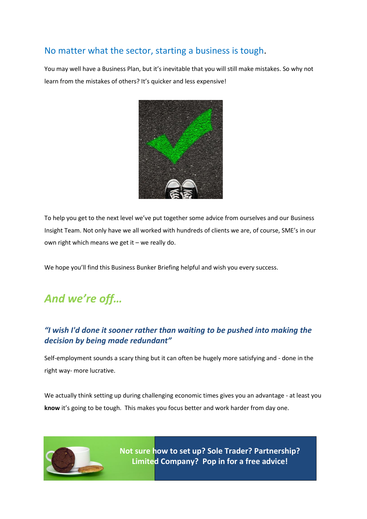### No matter what the sector, starting a business is tough.

You may well have a Business Plan, but it's inevitable that you will still make mistakes. So why not learn from the mistakes of others? It's quicker and less expensive!



To help you get to the next level we've put together some advice from ourselves and our Business Insight Team. Not only have we all worked with hundreds of clients we are, of course, SME's in our own right which means we get it – we really do.

We hope you'll find this Business Bunker Briefing helpful and wish you every success.

## *And we're off…*

### *"I wish I'd done it sooner rather than waiting to be pushed into making the decision by being made redundant"*

Self-employment sounds a scary thing but it can often be hugely more satisfying and - done in the right way- more lucrative.

We actually think setting up during challenging economic times gives you an advantage - at least you **know** it's going to be tough. This makes you focus better and work harder from day one.



**I would have research more function of market more function of the market my knowledge in the market my knowledge in the market my knowledge in the market my knowledge in the advice! Not sure how to set up? Sole Trader? Partnership?**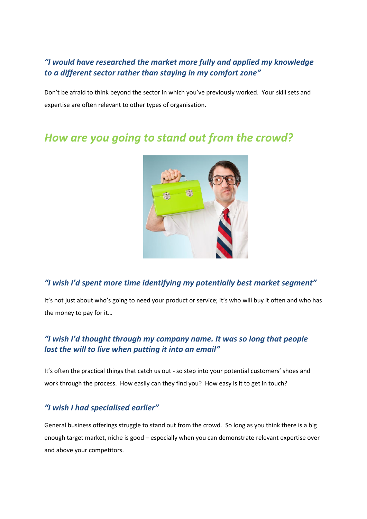#### *"I would have researched the market more fully and applied my knowledge to a different sector rather than staying in my comfort zone"*

Don't be afraid to think beyond the sector in which you've previously worked. Your skill sets and expertise are often relevant to other types of organisation.

## *How are you going to stand out from the crowd?*



#### *"I wish I'd spent more time identifying my potentially best market segment"*

It's not just about who's going to need your product or service; it's who will buy it often and who has the money to pay for it…

### *"I wish I'd thought through my company name. It was so long that people lost the will to live when putting it into an email"*

It's often the practical things that catch us out - so step into your potential customers' shoes and work through the process. How easily can they find you? How easy is it to get in touch?

#### *"I wish I had specialised earlier"*

General business offerings struggle to stand out from the crowd. So long as you think there is a big enough target market, niche is good – especially when you can demonstrate relevant expertise over and above your competitors.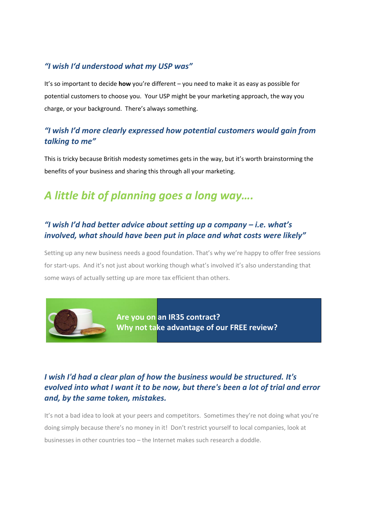#### *"I wish I'd understood what my USP was"*

It's so important to decide **how** you're different – you need to make it as easy as possible for potential customers to choose you. Your USP might be your marketing approach, the way you charge, or your background. There's always something.

#### *"I wish I'd more clearly expressed how potential customers would gain from talking to me"*

This is tricky because British modesty sometimes gets in the way, but it's worth brainstorming the benefits of your business and sharing this through all your marketing.

## *A little bit of planning goes a long way….*

#### *"I wish I'd had better advice about setting up a company – i.e. what's involved, what should have been put in place and what costs were likely"*

Setting up any new business needs a good foundation. That's why we're happy to offer free sessions for start-ups. And it's not just about working though what's involved it's also understanding that some ways of actually setting up are more tax efficient than others.



**Are you on an IR35 contract? Why not take advantage of our FREE review?**

#### *I wish I'd had a clear plan of how the business would be structured. It's evolved into what I want it to be now, but there's been a lot of trial and error and, by the same token, mistakes.*

It's not a bad idea to look at your peers and competitors. Sometimes they're not doing what you're doing simply because there's no money in it! Don't restrict yourself to local companies, look at businesses in other countries too – the Internet makes such research a doddle.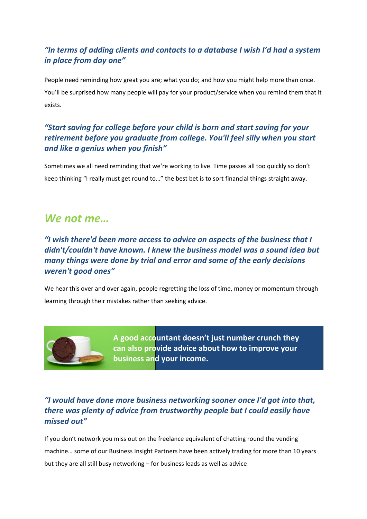### *"In terms of adding clients and contacts to a database I wish I'd had a system in place from day one"*

People need reminding how great you are; what you do; and how you might help more than once. You'll be surprised how many people will pay for your product/service when you remind them that it exists.

#### *"Start saving for college before your child is born and start saving for your retirement before you graduate from college. You'll feel silly when you start and like a genius when you finish"*

Sometimes we all need reminding that we're working to live. Time passes all too quickly so don't keep thinking "I really must get round to…" the best bet is to sort financial things straight away.

## *We not me…*

### *"I wish there'd been more access to advice on aspects of the business that I didn't/couldn't have known. I knew the business model was a sound idea but many things were done by trial and error and some of the early decisions weren't good ones"*

We hear this over and over again, people regretting the loss of time, money or momentum through learning through their mistakes rather than seeking advice.



**A good accountant doesn't just number crunch they can also provide advice about how to improve your business and your income.**

### *"I would have done more business networking sooner once I'd got into that, there was plenty of advice from trustworthy people but I could easily have missed out"*

If you don't network you miss out on the freelance equivalent of chatting round the vending machine… some of our Business Insight Partners have been actively trading for more than 10 years but they are all still busy networking – for business leads as well as advice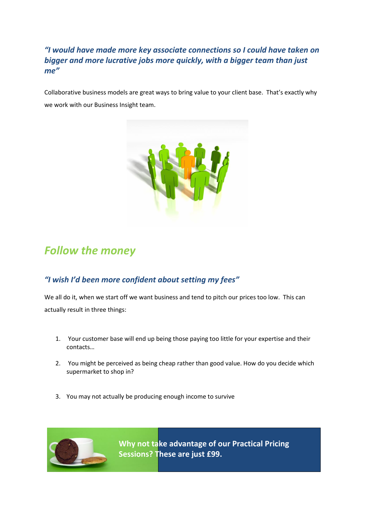*"I would have made more key associate connections so I could have taken on bigger and more lucrative jobs more quickly, with a bigger team than just me"*

Collaborative business models are great ways to bring value to your client base. That's exactly why we work with our Business Insight team.



## *Follow the money*

### *"I wish I'd been more confident about setting my fees"*

We all do it, when we start off we want business and tend to pitch our prices too low. This can actually result in three things:

- 1. Your customer base will end up being those paying too little for your expertise and their contacts…
- 2. You might be perceived as being cheap rather than good value. How do you decide which supermarket to shop in?
- 3. You may not actually be producing enough income to survive



**Why not take advantage of our Practical Pricing Sessions? These are just £99.**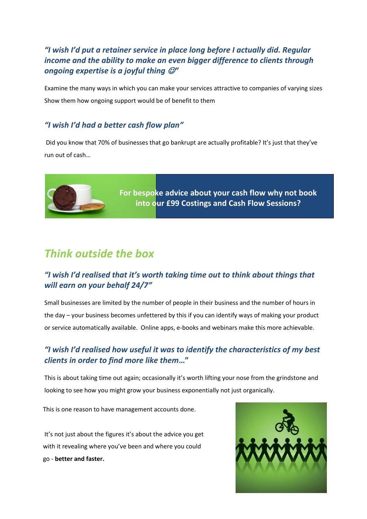### *"I wish I'd put a retainer service in place long before I actually did. Regular income and the ability to make an even bigger difference to clients through ongoing expertise is a joyful thing "*

Examine the many ways in which you can make your services attractive to companies of varying sizes Show them how ongoing support would be of benefit to them

#### *"I wish I'd had a better cash flow plan"*

Did you know that 70% of businesses that go bankrupt are actually profitable? It's just that they've run out of cash…



**For bespoke advice about your cash flow why not book into our £99 Costings and Cash Flow Sessions?**

## *Think outside the box*

### *"I wish I'd realised that it's worth taking time out to think about things that will earn on your behalf 24/7"*

Small businesses are limited by the number of people in their business and the number of hours in the day – your business becomes unfettered by this if you can identify ways of making your product or service automatically available. Online apps, e-books and webinars make this more achievable.

### *"I wish I'd realised how useful it was to identify the characteristics of my best clients in order to find more like them***…"**

This is about taking time out again; occasionally it's worth lifting your nose from the grindstone and looking to see how you might grow your business exponentially not just organically.

This is one reason to have management accounts done.

It's not just about the figures it's about the advice you get with it revealing where you've been and where you could go - **better and faster.**

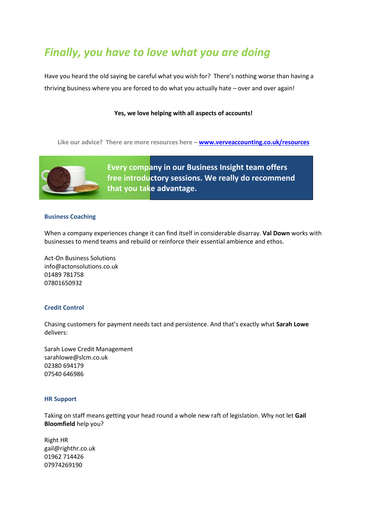## *Finally, you have to love what you are doing*

Have you heard the old saying be careful what you wish for? There's nothing worse than having a thriving business where you are forced to do what you actually hate – over and over again!

#### **Yes, we love helping with all aspects of accounts!**

**Like our advice? There are more resources here – [www.verveaccounting.co.uk/resources](http://www.verveaccounting.co.uk/resources)**



**Every company in our Business Insight team offers free introductory sessions. We really do recommend that you take advantage.**

#### **Business Coaching**

When a company experiences change it can find itself in considerable disarray. **Val Down** works with businesses to mend teams and rebuild or reinforce their essential ambience and ethos.

Act-On Business Solutions [info@actonsolutions.co.uk](mailto:info@actonsolutions.co.uk) 01489 781758 07801650932

#### **Credit Control**

Chasing customers for payment needs tact and persistence. And that's exactly what **Sarah Lowe** delivers:

Sarah Lowe Credit Management [sarahlowe@slcm.co.uk](mailto:sarahlowe@slcm.co.uk) 02380 694179 07540 646986

#### **HR Support**

Taking on staff means getting your head round a whole new raft of legislation. Why not let **Gail Bloomfield** help you?

Right HR gail@righthr.co.uk 01962 714426 07974269190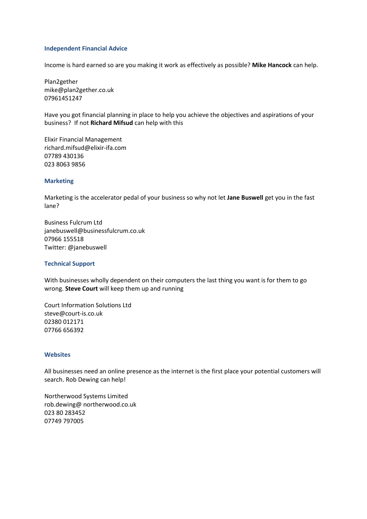#### **Independent Financial Advice**

Income is hard earned so are you making it work as effectively as possible? **Mike Hancock** can help.

Plan2gether mike@plan2gether.co.uk 07961451247

Have you got financial planning in place to help you achieve the objectives and aspirations of your business? If not **Richard Mifsud** can help with this

Elixir Financial Management [richard.mifsud@elixir-ifa.com](mailto:richard.mifsud@elixir-ifa.com) 07789 430136 023 8063 9856

#### **Marketing**

Marketing is the accelerator pedal of your business so why not let **Jane Buswell** get you in the fast lane?

Business Fulcrum Ltd [janebuswell@businessfulcrum.co.uk](mailto:janebuswell@businessfulcrum.co.uk) 07966 155518 Twitter: @janebuswell

#### **Technical Support**

With businesses wholly dependent on their computers the last thing you want is for them to go wrong. **Steve Court** will keep them up and running

Court Information Solutions Ltd [steve@court-is.co.uk](mailto:steve@court-is.co.uk) 02380 012171 07766 656392

#### **Websites**

All businesses need an online presence as the internet is the first place your potential customers will search. Rob Dewing can help!

Northerwood Systems Limited [rob.dewing@ northerwood.co.uk](mailto:rob.dewing@%20northerwood.co.uk) 023 80 283452 07749 797005